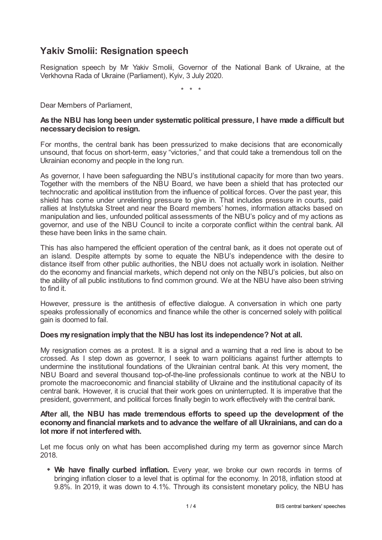## **Yakiv Smolii: Resignation speech**

Resignation speech by Mr Yakiv Smolii, Governor of the National Bank of Ukraine, at the Verkhovna Rada of Ukraine (Parliament), Kyiv, 3 July 2020.

\* \* \*

Dear Members of Parliament,

## **As the NBU has long been under systematic political pressure, I have made a difficult but necessarydecision to resign.**

For months, the central bank has been pressurized to make decisions that are economically unsound, that focus on short-term, easy "victories," and that could take a tremendous toll on the Ukrainian economy and people in the long run.

As governor, I have been safeguarding the NBU's institutional capacity for more than two years. Together with the members of the NBU Board, we have been a shield that has protected our technocratic and apolitical institution from the influence of political forces. Over the past year, this shield has come under unrelenting pressure to give in. That includes pressure in courts, paid rallies at Instytutska Street and near the Board members' homes, information attacks based on manipulation and lies, unfounded political assessments of the NBU's policy and of my actions as governor, and use of the NBU Council to incite a corporate conflict within the central bank. All these have been links in the same chain.

This has also hampered the efficient operation of the central bank, as it does not operate out of an island. Despite attempts by some to equate the NBU's independence with the desire to distance itself from other public authorities, the NBU does not actually work in isolation. Neither do the economy and financial markets, which depend not only on the NBU's policies, but also on the ability of all public institutions to find common ground. We at the NBU have also been striving to find it.

However, pressure is the antithesis of effective dialogue. A conversation in which one party speaks professionally of economics and finance while the other is concerned solely with political gain is doomed to fail.

## **Does myresignation implythat the NBU has lost its independence? Not at all.**

My resignation comes as a protest. It is a signal and a warning that a red line is about to be crossed. As I step down as governor, I seek to warn politicians against further attempts to undermine the institutional foundations of the Ukrainian central bank. At this very moment, the NBU Board and several thousand top-of-the-line professionals continue to work at the NBU to promote the macroeconomic and financial stability of Ukraine and the institutional capacity of its central bank. However, it is crucial that their work goes on uninterrupted. It is imperative that the president, government, and political forces finally begin to work effectively with the central bank.

## **After all, the NBU has made tremendous efforts to speed up the development of the economyand financial markets and to advance the welfare of all Ukrainians, and can do a lot more if not interfered with.**

Let me focus only on what has been accomplished during my term as governor since March 2018.

**We have finally curbed inflation.** Every year, we broke our own records in terms of bringing inflation closer to a level that is optimal for the economy. In 2018, inflation stood at 9.8%. In 2019, it was down to 4.1%. Through its consistent monetary policy, the NBU has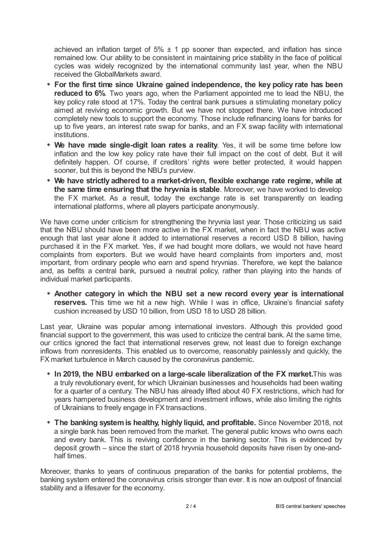achieved an inflation target of  $5\% \pm 1$  pp sooner than expected, and inflation has since remained low. Our ability to be consistent in maintaining price stability in the face of political cycles was widely recognized by the international community last year, when the NBU received the GlobalMarkets award.

- **For the first time since Ukraine gained independence, the key policy rate has been reduced to 6%**. Two years ago, when the Parliament appointed me to lead the NBU, the key policy rate stood at 17%. Today the central bank pursues a stimulating monetary policy aimed at reviving economic growth. But we have not stopped there. We have introduced completely new tools to support the economy. Those include refinancing loans for banks for up to five years, an interest rate swap for banks, and an FX swap facility with international institutions.
- **We have made single-digit loan rates a reality**. Yes, it will be some time before low inflation and the low key policy rate have their full impact on the cost of debt. But it will definitely happen. Of course, if creditors' rights were better protected, it would happen sooner, but this is beyond the NBU's purview.
- **We have strictly adhered to a market-driven, flexible exchange rate regime, while at the same time ensuring that the hryvnia is stable**. Moreover, we have worked to develop the FX market. As a result, today the exchange rate is set transparently on leading international platforms, where all players participate anonymously.

We have come under criticism for strengthening the hryvnia last year. Those criticizing us said that the NBU should have been more active in the FX market, when in fact the NBU was active enough that last year alone it added to international reserves a record USD 8 billion, having purchased it in the FX market. Yes, if we had bought more dollars, we would not have heard complaints from exporters. But we would have heard complaints from importers and, most important, from ordinary people who earn and spend hryvnias. Therefore, we kept the balance and, as befits a central bank, pursued a neutral policy, rather than playing into the hands of individual market participants.

**Another category in which the NBU set a new record every year is international reserves.** This time we hit a new high. While I was in office, Ukraine's financial safety cushion increased by USD 10 billion, from USD 18 to USD 28 billion.

Last year, Ukraine was popular among international investors. Although this provided good financial support to the government, this was used to criticize the central bank. At the same time, our critics ignored the fact that international reserves grew, not least due to foreign exchange inflows from nonresidents. This enabled us to overcome, reasonably painlessly and quickly, the FX market turbulence in March caused by the coronavirus pandemic.

- **In 2019, the NBU embarked on a large-scale liberalization of the FX market.**This was a truly revolutionary event, for which Ukrainian businesses and households had been waiting for a quarter of a century. The NBU has already lifted about 40 FX restrictions, which had for years hampered business development and investment inflows, while also limiting the rights of Ukrainians to freely engage in FX transactions.
- **The banking systemis healthy, highly liquid, and profitable.** Since November 2018, not a single bank has been removed from the market. The general public knows who owns each and every bank. This is reviving confidence in the banking sector. This is evidenced by deposit growth – since the start of 2018 hryvnia household deposits have risen by one-andhalf times.

Moreover, thanks to years of continuous preparation of the banks for potential problems, the banking system entered the coronavirus crisis stronger than ever. It is now an outpost of financial stability and a lifesaver for the economy.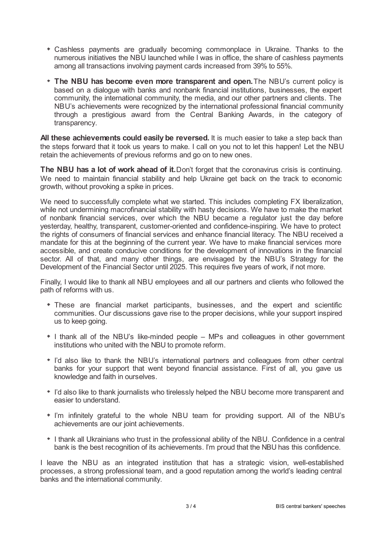- Cashless payments are gradually becoming commonplace in Ukraine. Thanks to the numerous initiatives the NBU launched while I was in office, the share of cashless payments among all transactions involving payment cards increased from 39% to 55%.
- **The NBU has become even more transparent and open.**The NBU's current policy is based on a dialogue with banks and nonbank financial institutions, businesses, the expert community, the international community, the media, and our other partners and clients. The NBU's achievements were recognized by the international professional financial community through a prestigious award from the Central Banking Awards, in the category of transparency.

**All these achievements could easily be reversed.** It is much easier to take a step back than the steps forward that it took us years to make. I call on you not to let this happen! Let the NBU retain the achievements of previous reforms and go on to new ones.

**The NBU has a lot of work ahead of it.**Don't forget that the coronavirus crisis is continuing. We need to maintain financial stability and help Ukraine get back on the track to economic growth, without provoking a spike in prices.

We need to successfully complete what we started. This includes completing FX liberalization, while not undermining macrofinancial stability with hasty decisions. We have to make the market of nonbank financial services, over which the NBU became a regulator just the day before yesterday, healthy, transparent, customer-oriented and confidence-inspiring. We have to protect the rights of consumers of financial services and enhance financial literacy. The NBU received a mandate for this at the beginning of the current year. We have to make financial services more accessible, and create conducive conditions for the development of innovations in the financial sector. All of that, and many other things, are envisaged by the NBU's Strategy for the Development of the Financial Sector until 2025. This requires five years of work, if not more.

Finally, I would like to thank all NBU employees and all our partners and clients who followed the path of reforms with us.

- These are financial market participants, businesses, and the expert and scientific communities. Our discussions gave rise to the proper decisions, while your support inspired us to keep going.
- I thank all of the NBU's like-minded people MPs and colleagues in other government institutions who united with the NBU to promote reform.
- I'd also like to thank the NBU's international partners and colleagues from other central banks for your support that went beyond financial assistance. First of all, you gave us knowledge and faith in ourselves.
- I'd also like to thank journalists who tirelessly helped the NBU become more transparent and easier to understand.
- I'm infinitely grateful to the whole NBU team for providing support. All of the NBU's achievements are our joint achievements.
- I thank all Ukrainians who trust in the professional ability of the NBU. Confidence in a central bank is the best recognition of its achievements. I'm proud that the NBU has this confidence.

I leave the NBU as an integrated institution that has a strategic vision, well-established processes, a strong professional team, and a good reputation among the world's leading central banks and the international community.